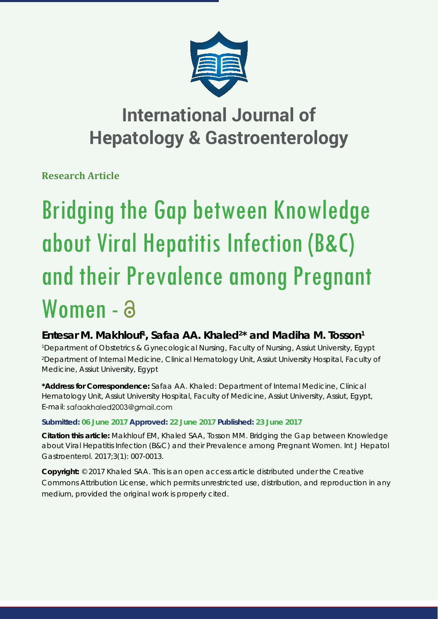

**Research Article**

# Bridging the Gap between Knowledge about Viral Hepatitis Infection (B&C) and their Prevalence among Pregnant Women - a

## Entesar M. Makhlouf<sup>1</sup>, Safaa AA. Khaled<sup>2\*</sup> and Madiha M. Tosson<sup>1</sup>

*1 Department of Obstetrics & Gynecological Nursing, Faculty of Nursing, Assiut University, Egypt 2 Department of Internal Medicine, Clinical Hematology Unit, Assiut University Hospital, Faculty of Medicine, Assiut University, Egypt*

**\*Address for Correspondence:** Safaa AA. Khaled: Department of Internal Medicine, Clinical Hematology Unit, Assiut University Hospital, Faculty of Medicine, Assiut University, Assiut, Egypt, E-mail: sgfagkhaled2003@gmail.com

## **Submitted: 06 June 2017 Approved: 22 June 2017 Published: 23 June 2017**

**Citation this article:** Makhlouf EM, Khaled SAA, Tosson MM. Bridging the Gap between Knowledge about Viral Hepatitis Infection (B&C) and their Prevalence among Pregnant Women. Int J Hepatol Gastroenterol. 2017;3(1): 007-0013.

**Copyright:** © 2017 Khaled SAA. This is an open access article distributed under the Creative Commons Attribution License, which permits unrestricted use, distribution, and reproduction in any medium, provided the original work is properly cited.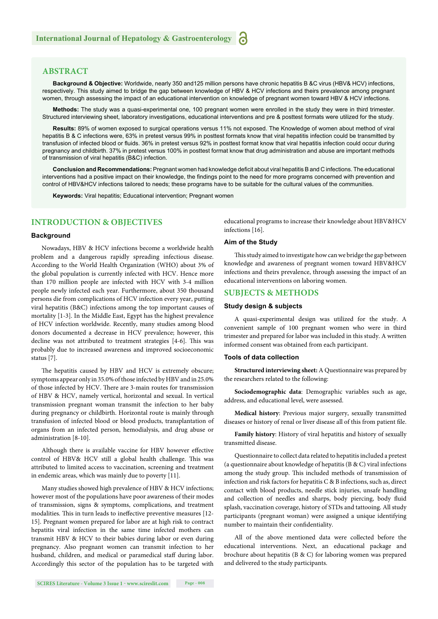#### **ABSTRACT**

**Background & Objective:** Worldwide, nearly 350 and125 million persons have chronic hepatitis B &C virus (HBV& HCV) infections, respectively. This study aimed to bridge the gap between knowledge of HBV & HCV infections and theirs prevalence among pregnant women, through assessing the impact of an educational intervention on knowledge of pregnant women toward HBV & HCV infections.

**Methods:** The study was a quasi-experimental one, 100 pregnant women were enrolled in the study they were in third trimester. Structured interviewing sheet, laboratory investigations, educational interventions and pre & posttest formats were utilized for the study.

**Results:** 89% of women exposed to surgical operations versus 11% not exposed. The Knowledge of women about method of viral hepatitis B & C infections were, 63% in pretest versus 99% in posttest formats know that viral hepatitis infection could be transmitted by transfusion of infected blood or fluids. 36% in pretest versus 92% in posttest format know that viral hepatitis infection could occur during pregnancy and childbirth. 37% in pretest versus 100% in posttest format know that drug administration and abuse are important methods of transmission of viral hepatitis (B&C) infection.

**Conclusion and Recommendations:** Pregnant women had knowledge deficit about viral hepatitis B and C infections. The educational interventions had a positive impact on their knowledge, the findings point to the need for more programs concerned with prevention and control of HBV&HCV infections tailored to needs; these programs have to be suitable for the cultural values of the communities.

**Keywords:** Viral hepatitis; Educational intervention; Pregnant women

## **INTRODUCTION & OBJECTIVES**

#### **Background**

Nowadays, HBV & HCV infections become a worldwide health problem and a dangerous rapidly spreading infectious disease. According to the World Health Organization (WHO) about 3% of the global population is currently infected with HCV. Hence more than 170 million people are infected with HCV with 3-4 million people newly infected each year. Furthermore, about 350 thousand persons die from complications of HCV infection every year, putting viral hepatitis (B&C) infections among the top important causes of mortality [1-3]. In the Middle East, Egypt has the highest prevalence of HCV infection worldwide. Recently, many studies among blood donors documented a decrease in HCV prevalence; however, this decline was not attributed to treatment strategies [4-6]. This was probably due to increased awareness and improved socioeconomic status [7].

The hepatitis caused by HBV and HCV is extremely obscure; symptoms appear only in 35.0% of those infected by HBV and in 25.0% of those infected by HCV. There are 3-main routes for transmission of HBV & HCV, namely vertical, horizontal and sexual. In vertical transmission pregnant woman transmit the infection to her baby during pregnancy or childbirth. Horizontal route is mainly through transfusion of infected blood or blood products, transplantation of organs from an infected person, hemodialysis, and drug abuse or administration [8-10].

Although there is available vaccine for HBV however effective control of HBV& HCV still a global health challenge. This was attributed to limited access to vaccination, screening and treatment in endemic areas, which was mainly due to poverty [11].

Many studies showed high prevalence of HBV & HCV infections; however most of the populations have poor awareness of their modes of transmission, signs & symptoms, complications, and treatment modalities. This in turn leads to ineffective preventive measures [12-15]. Pregnant women prepared for labor are at high risk to contract hepatitis viral infection in the same time infected mothers can transmit HBV & HCV to their babies during labor or even during pregnancy. Also pregnant women can transmit infection to her husband, children, and medical or paramedical staff during labor. Accordingly this sector of the population has to be targeted with

educational programs to increase their knowledge about HBV&HCV infections [16].

#### **Aim of the Study**

This study aimed to investigate how can we bridge the gap between knowledge and awareness of pregnant women toward HBV&HCV infections and theirs prevalence, through assessing the impact of an educational interventions on laboring women.

## **SUBJECTS & METHODS**

#### **Study design & subjects**

A quasi-experimental design was utilized for the study. A convenient sample of 100 pregnant women who were in third trimester and prepared for labor was included in this study. A written informed consent was obtained from each participant.

#### **Tools of data collection**

**Structured interviewing sheet:** A Questionnaire was prepared by the researchers related to the following:

**Sociodemographic data**: Demographic variables such as age, address, and educational level, were assessed.

**Medical history**: Previous major surgery, sexually transmitted diseases or history of renal or liver disease all of this from patient file.

**Family history**: History of viral hepatitis and history of sexually transmitted disease.

Questionnaire to collect data related to hepatitis included a pretest (a questionnaire about knowledge of hepatitis (B & C) viral infections among the study group. This included methods of transmission of infection and risk factors for hepatitis C & B infections, such as, direct contact with blood products, needle stick injuries, unsafe handling and collection of needles and sharps, body piercing, body fluid splash, vaccination coverage, history of STDs and tattooing. All study participants (pregnant woman) were assigned a unique identifying number to maintain their confidentiality.

All of the above mentioned data were collected before the educational interventions. Next, an educational package and brochure about hepatitis (B & C) for laboring women was prepared and delivered to the study participants.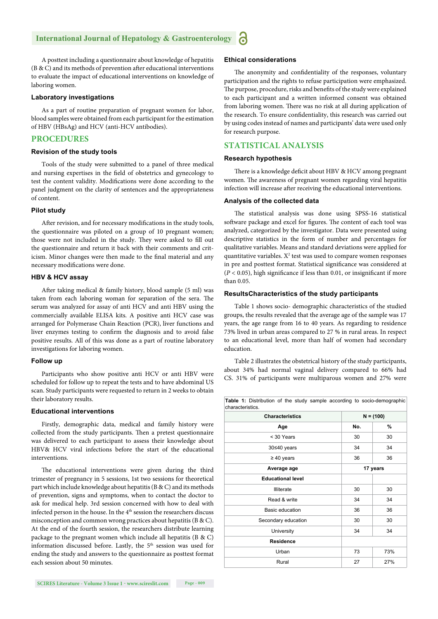A posttest including a questionnaire about knowledge of hepatitis (B & C) and its methods of prevention after educational interventions to evaluate the impact of educational interventions on knowledge of laboring women.

#### **Laboratory investigations**

As a part of routine preparation of pregnant women for labor, blood samples were obtained from each participant for the estimation of HBV (HBsAg) and HCV (anti-HCV antibodies).

#### **PROCEDURES**

#### **Revision of the study tools**

Tools of the study were submitted to a panel of three medical and nursing expertises in the field of obstetrics and gynecology to test the content validity. Modifications were done according to the panel judgment on the clarity of sentences and the appropriateness of content.

#### **Pilot study**

After revision, and for necessary modifications in the study tools, the questionnaire was piloted on a group of 10 pregnant women; those were not included in the study. They were asked to fill out the questionnaire and return it back with their comments and criticism. Minor changes were then made to the final material and any necessary modifications were done.

#### **HBV & HCV assay**

After taking medical & family history, blood sample (5 ml) was taken from each laboring woman for separation of the sera. The serum was analyzed for assay of anti HCV and anti HBV using the commercially available ELISA kits. A positive anti HCV case was arranged for Polymerase Chain Reaction (PCR), liver functions and liver enzymes testing to confirm the diagnosis and to avoid false positive results. All of this was done as a part of routine laboratory investigations for laboring women.

#### **Follow up**

Participants who show positive anti HCV or anti HBV were scheduled for follow up to repeat the tests and to have abdominal US scan. Study participants were requested to return in 2 weeks to obtain their laboratory results.

#### **Educational interventions**

Firstly, demographic data, medical and family history were collected from the study participants. Then a pretest questionnaire was delivered to each participant to assess their knowledge about HBV& HCV viral infections before the start of the educational interventions.

The educational interventions were given during the third trimester of pregnancy in 5 sessions, 1st two sessions for theoretical part which include knowledge about hepatitis (B & C) and its methods of prevention, signs and symptoms, when to contact the doctor to ask for medical help. 3rd session concerned with how to deal with infected person in the house. In the 4<sup>th</sup> session the researchers discuss misconception and common wrong practices about hepatitis (B & C). At the end of the fourth session, the researchers distribute learning package to the pregnant women which include all hepatitis (B & C) information discussed before. Lastly, the 5<sup>th</sup> session was used for ending the study and answers to the questionnaire as posttest format each session about 50 minutes.

#### **Ethical considerations**

The anonymity and confidentiality of the responses, voluntary participation and the rights to refuse participation were emphasized. The purpose, procedure, risks and benefits of the study were explained to each participant and a written informed consent was obtained from laboring women. There was no risk at all during application of the research. To ensure confidentiality, this research was carried out by using codes instead of names and participants' data were used only for research purpose.

## **STATISTICAL ANALYSIS**

#### **Research hypothesis**

There is a knowledge deficit about HBV & HCV among pregnant women. The awareness of pregnant women regarding viral hepatitis infection will increase after receiving the educational interventions.

#### **Analysis of the collected data**

The statistical analysis was done using SPSS-16 statistical software package and excel for figures. The content of each tool was analyzed, categorized by the investigator. Data were presented using descriptive statistics in the form of number and percentages for qualitative variables. Means and standard deviations were applied for quantitative variables.  $X^2$  test was used to compare women responses in pre and posttest format. Statistical significance was considered at  $(P < 0.05)$ , high significance if less than 0.01, or insignificant if more than 0.05.

#### **ResultsCharacteristics of the study participants**

Table 1 shows socio- demographic characteristics of the studied groups, the results revealed that the average age of the sample was 17 years, the age range from 16 to 40 years. As regarding to residence 73% lived in urban areas compared to 27 % in rural areas. In respect to an educational level, more than half of women had secondary education.

Table 2 illustrates the obstetrical history of the study participants, about 34% had normal vaginal delivery compared to 66% had CS. 31% of participants were multiparous women and 27% were

| Table 1: Distribution of the study sample according to socio-demographic<br>characteristics. |             |     |  |  |
|----------------------------------------------------------------------------------------------|-------------|-----|--|--|
| <b>Characteristics</b>                                                                       | $N = (100)$ |     |  |  |
| Age                                                                                          | No.         | %   |  |  |
| < 30 Years                                                                                   | 30          | 30  |  |  |
| 30≤40 years                                                                                  | 34          | 34  |  |  |
| $\geq 40$ years                                                                              | 36          | 36  |  |  |
| Average age                                                                                  | 17 years    |     |  |  |
| <b>Educational level</b>                                                                     |             |     |  |  |
| Illiterate                                                                                   | 30          | 30  |  |  |
| Read & write                                                                                 | 34          | 34  |  |  |
| Basic education                                                                              | 36          | 36  |  |  |
| Secondary education                                                                          | 30          | 30  |  |  |
| University                                                                                   | 34          | 34  |  |  |
| <b>Residence</b>                                                                             |             |     |  |  |
| Urban                                                                                        | 73          | 73% |  |  |
| Rural                                                                                        | 27          | 27% |  |  |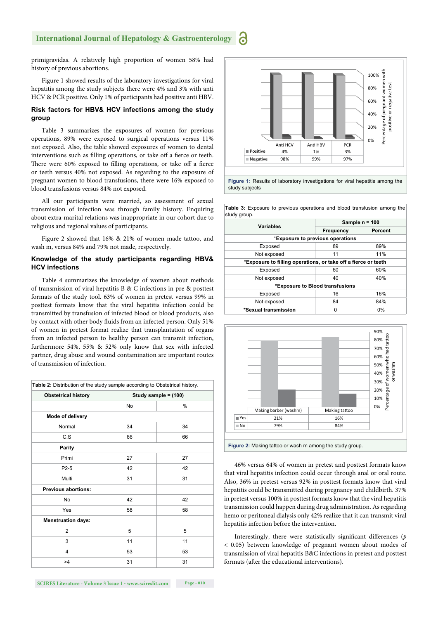primigravidas. A relatively high proportion of women 58% had history of previous abortions.

Figure 1 showed results of the laboratory investigations for viral hepatitis among the study subjects there were 4% and 3% with anti HCV & PCR positive. Only 1% of participants had positive anti HBV.

#### **Risk factors for HBV& HCV infections among the study group**

Table 3 summarizes the exposures of women for previous operations, 89% were exposed to surgical operations versus 11% not exposed. Also, the table showed exposures of women to dental interventions such as filling operations, or take off a fierce or teeth. There were 60% exposed to filling operations, or take off a fierce or teeth versus 40% not exposed. As regarding to the exposure of pregnant women to blood transfusions, there were 16% exposed to blood transfusions versus 84% not exposed.

All our participants were married, so assessment of sexual transmission of infection was through family history. Enquiring about extra-marital relations was inappropriate in our cohort due to religious and regional values of participants.

Figure 2 showed that 16% & 21% of women made tattoo, and wash m, versus 84% and 79% not made, respectively.

#### **Knowledge of the study participants regarding HBV& HCV infections**

Table 4 summarizes the knowledge of women about methods of transmission of viral hepatitis B & C infections in pre & posttest formats of the study tool. 63% of women in pretest versus 99% in posttest formats know that the viral hepatitis infection could be transmitted by transfusion of infected blood or blood products, also by contact with other body fluids from an infected person. Only 51% of women in pretest format realize that transplantation of organs from an infected person to healthy person can transmit infection, furthermore 54%, 55% & 52% only know that sex with infected partner, drug abuse and wound contamination are important routes of transmission of infection.

| Study sample = (100) |                                                                             |  |
|----------------------|-----------------------------------------------------------------------------|--|
| <b>No</b>            | %                                                                           |  |
|                      |                                                                             |  |
| 34                   | 34                                                                          |  |
| 66                   | 66                                                                          |  |
|                      |                                                                             |  |
| 27                   | 27                                                                          |  |
| 42                   | 42                                                                          |  |
| 31                   | 31                                                                          |  |
|                      |                                                                             |  |
| 42                   | 42                                                                          |  |
| 58                   | 58                                                                          |  |
|                      |                                                                             |  |
| 5                    | 5                                                                           |  |
| 11                   | 11                                                                          |  |
| 53                   | 53                                                                          |  |
| 31                   | 31                                                                          |  |
|                      | Table 2: Distribution of the study sample according to Obstetrical history. |  |



study subjects

**Table 3:** Exposure to previous operations and blood transfusion among the study group.

| <b>Variables</b>                                               | Sample $n = 100$ |         |  |  |  |
|----------------------------------------------------------------|------------------|---------|--|--|--|
|                                                                | Frequency        | Percent |  |  |  |
| *Exposure to previous operations                               |                  |         |  |  |  |
| Exposed                                                        | 89               | 89%     |  |  |  |
| Not exposed                                                    | 11               | 11%     |  |  |  |
| *Exposure to filling operations, or take off a fierce or teeth |                  |         |  |  |  |
| Exposed                                                        | 60%<br>60        |         |  |  |  |
| Not exposed                                                    | 40               | 40%     |  |  |  |
| *Exposure to Blood transfusions                                |                  |         |  |  |  |
| Exposed                                                        | 16               | 16%     |  |  |  |
| Not exposed                                                    | 84               | 84%     |  |  |  |
| *Sexual transmission                                           | U                | $0\%$   |  |  |  |



46% versus 64% of women in pretest and posttest formats know that viral hepatitis infection could occur through anal or oral route. Also, 36% in pretest versus 92% in posttest formats know that viral hepatitis could be transmitted during pregnancy and childbirth. 37% in pretest versus 100% in posttest formats know that the viral hepatitis transmission could happen during drug administration. As regarding hemo or peritoneal dialysis only 42% realize that it can transmit viral hepatitis infection before the intervention.

Interestingly, there were statistically significant differences (*p*) < 0.05) between knowledge of pregnant women about modes of transmission of viral hepatitis B&C infections in pretest and posttest formats (after the educational interventions).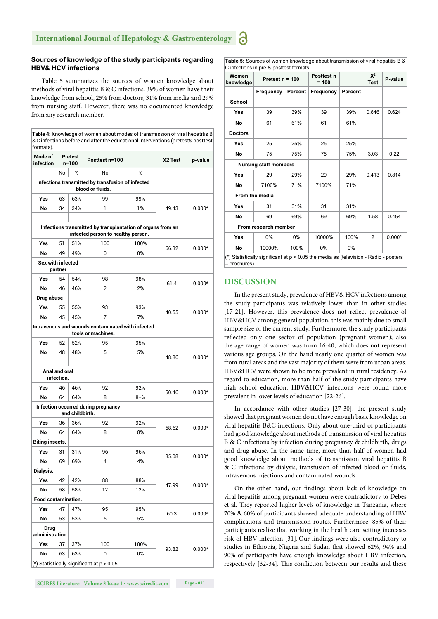#### **Sources of knowledge of the study participants regarding HBV& HCV infections**

Table 5 summarizes the sources of women knowledge about methods of viral hepatitis B & C infections. 39% of women have their knowledge from school, 25% from doctors, 31% from media and 29% from nursing staff. However, there was no documented knowledge from any research member.

| Mode of<br>infection          | <b>Pretest</b><br>$n = 100$ |                 | Posttest n=100                                                                                    |             | X2 Test | p-value  |
|-------------------------------|-----------------------------|-----------------|---------------------------------------------------------------------------------------------------|-------------|---------|----------|
|                               | No                          | %               | No                                                                                                | %           |         |          |
|                               |                             |                 | Infections transmitted by transfusion of infected<br>blood or fluids.                             |             |         |          |
| Yes                           | 63                          | 63%             | 99                                                                                                |             |         |          |
| No                            | 34                          | 34%             | 1                                                                                                 | 1%<br>49.43 |         | $0.000*$ |
|                               |                             |                 | Infections transmitted by transplantation of organs from an<br>infected person to healthy person. |             |         |          |
| Yes                           | 51                          | 51%             | 100                                                                                               | 100%        |         |          |
| No                            | 49                          | 49%             | 0                                                                                                 | 0%          | 66.32   | $0.000*$ |
| <b>Sex with infected</b>      | partner                     |                 |                                                                                                   |             |         |          |
| Yes                           | 54                          | 54%             | 98                                                                                                | 98%         |         |          |
| No                            | 46                          | 46%             | $\overline{2}$                                                                                    | 2%          | 61.4    | $0.000*$ |
| Drug abuse                    |                             |                 |                                                                                                   |             |         |          |
| Yes                           | 55                          | 55%             | 93                                                                                                | 93%         |         |          |
| No                            | 45                          | 45%             | 7                                                                                                 | 7%          | 40.55   | $0.000*$ |
|                               |                             |                 | Intravenous and wounds contaminated with infected<br>tools or machines.                           |             |         |          |
| Yes                           | 52                          | 52%             | 95                                                                                                | 95%         |         |          |
| No                            | 48                          | 48%             | 5                                                                                                 | 5%          | 48.86   | $0.000*$ |
| Anal and oral                 | infection.                  |                 |                                                                                                   |             |         |          |
| Yes                           | 46                          | 46%             | 92                                                                                                | 92%         | 50.46   | $0.000*$ |
| No                            | 64                          | 64%             | 8                                                                                                 | $8 + \%$    |         |          |
|                               |                             | and childbirth. | Infection occurred during pregnancy                                                               |             |         |          |
| Yes                           | 36                          | 36%             | 92                                                                                                | 92%         | 68.62   | $0.000*$ |
| No                            | 64                          | 64%             | 8                                                                                                 | 8%          |         |          |
| <b>Biting insects.</b>        |                             |                 |                                                                                                   |             |         |          |
| Yes                           | 31                          | 31%             | 96                                                                                                | 96%         | 85.08   | $0.000*$ |
| No                            | 69                          | 69%             | 4                                                                                                 | 4%          |         |          |
| Dialysis.                     |                             |                 |                                                                                                   |             |         |          |
| Yes                           | 42                          | 42%             | 88                                                                                                | 88%         |         |          |
| No                            | 58                          | 58%             | 12                                                                                                | 12%         | 47.99   | $0.000*$ |
| Food contamination.           |                             |                 |                                                                                                   |             |         |          |
| Yes                           | 47                          | 47%             | 95                                                                                                | 95%         |         |          |
| No                            | 53                          | 53%             | 5                                                                                                 | 5%          | 60.3    | $0.000*$ |
| <b>Drug</b><br>administration |                             |                 |                                                                                                   |             |         |          |
| Yes                           | 37                          | 37%             | 100                                                                                               | 100%        |         |          |
| No                            | 63                          | 63%             | 0                                                                                                 | 0%          | 93.82   | $0.000*$ |

 $\vert$ (\*) Statistically significant at p

**SCIRES Literature - Volume 3 Issue 1 - www.scireslit.com Page - 011**

**Table 5:** Sources of women knowledge about transmission of viral hepatitis B & C infections in pre & posttest formats**.**

| Women<br>knowledge                                                                                     | Pretest $n = 100$ |         | Posttest n<br>$= 100$ |         | $X^2$<br><b>Test</b> | P-value  |
|--------------------------------------------------------------------------------------------------------|-------------------|---------|-----------------------|---------|----------------------|----------|
|                                                                                                        | Frequency         | Percent | Frequency             | Percent |                      |          |
| School                                                                                                 |                   |         |                       |         |                      |          |
| Yes                                                                                                    | 39                | 39%     | 39                    | 39%     | 0.646                | 0.624    |
| <b>No</b>                                                                                              | 61                | 61%     | 61                    | 61%     |                      |          |
| <b>Doctors</b>                                                                                         |                   |         |                       |         |                      |          |
| Yes                                                                                                    | 25                | 25%     | 25                    | 25%     |                      |          |
| No                                                                                                     | 75                | 75%     | 75                    | 75%     | 3.03                 | 0.22     |
| <b>Nursing staff members</b>                                                                           |                   |         |                       |         |                      |          |
| Yes                                                                                                    | 29                | 29%     | 29                    | 29%     | 0.413                | 0.814    |
| No                                                                                                     | 7100%             | 71%     | 7100%                 | 71%     |                      |          |
| From the media                                                                                         |                   |         |                       |         |                      |          |
| Yes                                                                                                    | 31                | 31%     | 31                    | 31%     |                      |          |
| <b>No</b>                                                                                              | 69                | 69%     | 69                    | 69%     | 1.58                 | 0.454    |
| From research member                                                                                   |                   |         |                       |         |                      |          |
| Yes                                                                                                    | 0%                | $0\%$   | 10000%                | 100%    | 2                    | $0.000*$ |
| No                                                                                                     | 10000%            | 100%    | $0\%$                 | 0%      |                      |          |
| (*) Statistically significant at $p < 0.05$ the media as (television - Radio - posters<br>- brochures) |                   |         |                       |         |                      |          |

#### **DISCUSSION**

In the present study, prevalence of HBV& HCV infections among the study participants was relatively lower than in other studies [17-21]. However, this prevalence does not reflect prevalence of HBV&HCV among general population; this was mainly due to small sample size of the current study. Furthermore, the study participants reflected only one sector of population (pregnant women); also the age range of women was from 16-40, which does not represent various age groups. On the hand nearly one quarter of women was from rural areas and the vast majority of them were from urban areas. HBV&HCV were shown to be more prevalent in rural residency. As regard to education, more than half of the study participants have high school education, HBV&HCV infections were found more prevalent in lower levels of education [22-26].

In accordance with other studies [27-30], the present study showed that pregnant women do not have enough basic knowledge on viral hepatitis B&C infections. Only about one-third of participants had good knowledge about methods of transmission of viral hepatitis B & C infections by infection during pregnancy & childbirth, drugs and drug abuse. In the same time, more than half of women had good knowledge about methods of transmission viral hepatitis B & C infections by dialysis, transfusion of infected blood or fluids, intravenous injections and contaminated wounds.

On the other hand, our findings about lack of knowledge on viral hepatitis among pregnant women were contradictory to Debes et al. They reported higher levels of knowledge in Tanzania, where 70% & 60% of participants showed adequate understanding of HBV complications and transmission routes. Furthermore, 85% of their participants realize that working in the health care setting increases risk of HBV infection [31]. Our findings were also contradictory to studies in Ethiopia, Nigeria and Sudan that showed 62%, 94% and 90% of participants have enough knowledge about HBV infection, respectively [32-34]. This confliction between our results and these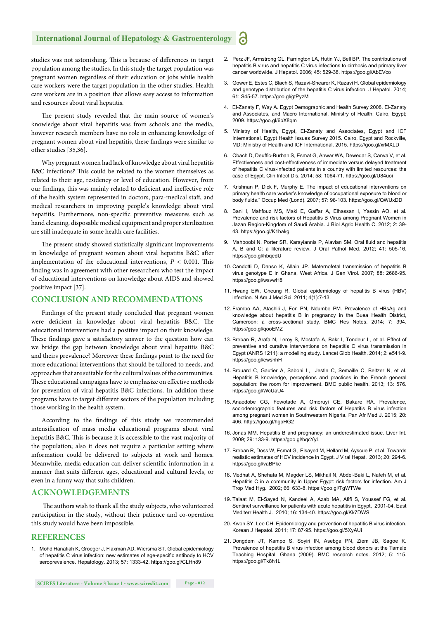studies was not astonishing. This is because of differences in target population among the studies. In this study the target population was pregnant women regardless of their education or jobs while health care workers were the target population in the other studies. Health care workers are in a position that allows easy access to information and resources about viral hepatitis.

The present study revealed that the main source of women's knowledge about viral hepatitis was from schools and the media, however research members have no role in enhancing knowledge of pregnant women about viral hepatitis, these findings were similar to other studies [35,36].

Why pregnant women had lack of knowledge about viral hepatitis B&C infections? This could be related to the women themselves as related to their age, residency or level of education. However, from our findings, this was mainly related to deficient and ineffective role of the health system represented in doctors, para-medical staff, and medical researchers in improving people's knowledge about viral hepatitis. Furthermore, non-specific preventive measures such as hand cleaning, disposable medical equipment and proper sterilization are still inadequate in some health care facilities.

The present study showed statistically significant improvements in knowledge of pregnant women about viral hepatitis B&C after implementation of the educational interventions,  $P < 0.001$ . This finding was in agreement with other researchers who test the impact of educational interventions on knowledge about AIDS and showed positive impact [37].

#### **CONCLUSION AND RECOMMENDATIONS**

Findings of the present study concluded that pregnant women were deficient in knowledge about viral hepatitis B&C. The educational interventions had a positive impact on their knowledge. These findings gave a satisfactory answer to the question how can we bridge the gap between knowledge about viral hepatitis B&C and theirs prevalence? Moreover these findings point to the need for more educational interventions that should be tailored to needs, and approaches that are suitable for the cultural values of the communities. These educational campaigns have to emphasize on effective methods for prevention of viral hepatitis B&C infections. In addition these programs have to target different sectors of the population including those working in the health system.

According to the findings of this study we recommended intensification of mass media educational programs about viral hepatitis B&C. This is because it is accessible to the vast majority of the population; also it does not require a particular setting where information could be delivered to subjects at work and homes. Meanwhile, media education can deliver scientific information in a manner that suits different ages, educational and cultural levels, or even in a funny way that suits children.

#### **ACKNOWLEDGEMENTS**

The authors wish to thank all the study subjects, who volunteered participation in the study, without their patience and co-operation this study would have been impossible.

#### **REFERENCES**

1. Mohd Hanafiah K, Groeger J, Flaxman AD, Wiersma ST. Global epidemiology of hepatitis C virus infection: new estimates of age-specific antibody to HCV seroprevalence. Hepatology. 2013; 57: 1333-42. https://goo.gl/CLHn89

- 2. Perz JF, Armstrong GL, Farrington LA, Hutin YJ, Bell BP. The contributions of hepatitis B virus and hepatitis C virus infections to cirrhosis and primary liver cancer worldwide. J Hepatol. 2006; 45: 529-38. https://goo.gl/AbEVco
- 3. Gower E, Estes C, Blach S, Razavi-Shearer K, Razavi H. Global epidemiology and genotype distribution of the hepatitis C virus infection. J Hepatol. 2014; 61: S45-57. https://goo.gl/gtPyzM
- 4. El-Zanaty F, Way A. Egypt Demographic and Health Survey 2008. El-Zanaty and Associates, and Macro International. Ministry of Health: Cairo, Egypt: 2009. https://goo.gl/6bX8qm
- 5. Ministry of Health, Egypt, El-Zanaty and Associates, Egypt and ICF International. Egypt Health Issues Survey 2015. Cairo, Egypt and Rockville, MD: Ministry of Health and ICF International. 2015. https://goo.gl/xrMXLD
- 6. Obach D, Deuffic-Burban S, Esmat G, Anwar WA, Dewedar S, Canva V, et al. Effectiveness and cost-effectiveness of immediate versus delayed treatment of hepatitis C virus-infected patients in a country with limited resources: the case of Egypt. Clin Infect Dis. 2014; 58: 1064-71. https://goo.gl/U84uoi
- 7. Krishnan P, Dick F, Murphy E. The impact of educational interventions on primary health care worker's knowledge of occupational exposure to blood or body fluids." Occup Med (Lond). 2007; 57: 98-103. https://goo.gl/QWUxDD
- 8. Bani I, Mahfouz MS, Maki E, Gaffar A, Elhassan I, Yassin AO, et al. Prevalence and risk factors of Hepatitis B Virus among Pregnant Women in Jazan Region-Kingdom of Saudi Arabia. J Biol Agric Health C. 2012; 2: 39- 43. https://goo.gl/K1bakg
- 9. Mahboobi N, Porter SR, Karayiannis P, Alavian SM. Oral fluid and hepatitis A, B and C: a literature review. J Oral Pathol Med. 2012; 41: 505-16. https://goo.gl/hbqedU
- 10. Candotti D, Danso K, Allain JP. Maternofetal transmission of hepatitis B virus genotype E in Ghana, West Africa. J Gen Virol. 2007; 88: 2686-95. https://goo.gl/wsvwH8
- 11. Hwang EW, Cheung R. Global epidemiology of hepatitis B virus (HBV) infection. N Am J Med Sci. 2011; 4(1):7-13.
- 12. Frambo AA, Atashili J, Fon PN, Ndumbe PM. Prevalence of HBsAg and knowledge about hepatitis B in pregnancy in the Buea Health District, Cameroon: a cross-sectional study. BMC Res Notes. 2014; 7: 394. https://goo.gl/qooEMZ
- 13. Breban R, Arafa N, Leroy S, Mostafa A, Bakr I, Tondeur L, et al. Effect of preventive and curative interventions on hepatitis C virus transmission in Egypt (ANRS 1211): a modelling study. Lancet Glob Health. 2014; 2: e541-9. https://goo.gl/ewshhH
- 14. Brouard C, Gautier A, Saboni L, Jestin C, Semaille C, Beltzer N, et al. Hepatitis B knowledge, perceptions and practices in the French general population: the room for improvement. BMC public health. 2013; 13: 576. https://goo.gl/WcUaU4
- 15. Anaedobe CG, Fowotade A, Omoruyi CE, Bakare RA. Prevalence, sociodemographic features and risk factors of Hepatitis B virus infection among pregnant women in Southwestern Nigeria. Pan Afr Med J. 2015; 20: 406. https://goo.gl/hgpHG2
- 16. Jonas MM. Hepatitis B and pregnancy: an underestimated issue. Liver Int. 2009; 29: 133-9. https://goo.gl/bqcYyL
- 17. Breban R, Doss W, Esmat G, Elsayed M, Hellard M, Ayscue P, et al. Towards realistic estimates of HCV incidence in Egypt. J Viral Hepat. 2013; 20: 294-6. https://goo.gl/vaBPke
- 18. Medhat A, Shehata M, Magder LS, Mikhail N, Abdel-Baki L, Nafeh M, et al. Hepatitis C in a community in Upper Egypt: risk factors for infection. Am J Trop Med Hyg. 2002; 66: 633-8. https://goo.gl/TgWTWe
- 19. Talaat M, El-Sayed N, Kandeel A, Azab MA, Afifi S, Youssef FG, et al. Sentinel surveillance for patients with acute hepatitis in Egypt, 2001-04. East Mediterr Health J. 2010; 16: 134-40. https://goo.gl/Kk7DWS
- 20. Kwon SY, Lee CH. Epidemiology and prevention of hepatitis B virus infection. Korean J Hepatol. 2011; 17: 87-95. https://goo.gl/5XyAUi
- 21. Dongdem JT, Kampo S, Soyiri IN, Asebga PN, Ziem JB, Sagoe K. Prevalence of hepatitis B virus infection among blood donors at the Tamale Teaching Hospital, Ghana (2009). BMC research notes. 2012; 5: 115. https://goo.gl/Tk8h1L